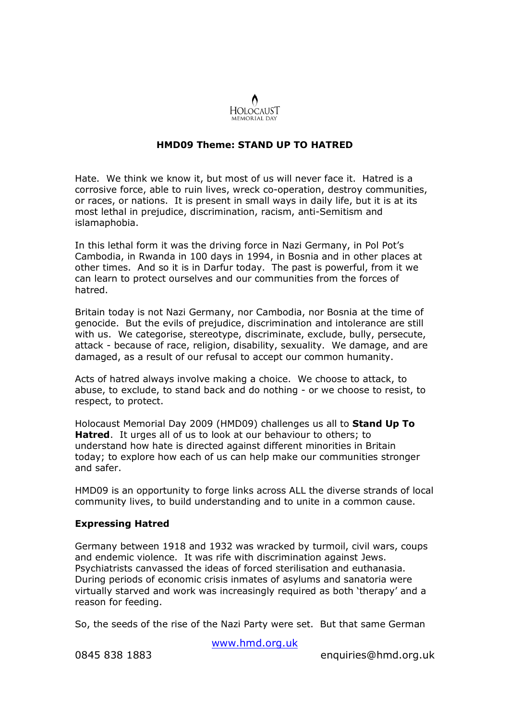

## HMD09 Theme: STAND UP TO HATRED

Hate. We think we know it, but most of us will never face it. Hatred is a corrosive force, able to ruin lives, wreck co-operation, destroy communities, or races, or nations. It is present in small ways in daily life, but it is at its most lethal in prejudice, discrimination, racism, anti-Semitism and islamaphobia.

In this lethal form it was the driving force in Nazi Germany, in Pol Pot's Cambodia, in Rwanda in 100 days in 1994, in Bosnia and in other places at other times. And so it is in Darfur today. The past is powerful, from it we can learn to protect ourselves and our communities from the forces of hatred.

Britain today is not Nazi Germany, nor Cambodia, nor Bosnia at the time of genocide. But the evils of prejudice, discrimination and intolerance are still with us. We categorise, stereotype, discriminate, exclude, bully, persecute, attack - because of race, religion, disability, sexuality. We damage, and are damaged, as a result of our refusal to accept our common humanity.

Acts of hatred always involve making a choice. We choose to attack, to abuse, to exclude, to stand back and do nothing - or we choose to resist, to respect, to protect.

Holocaust Memorial Day 2009 (HMD09) challenges us all to Stand Up To **Hatred.** It urges all of us to look at our behaviour to others; to understand how hate is directed against different minorities in Britain today; to explore how each of us can help make our communities stronger and safer.

HMD09 is an opportunity to forge links across ALL the diverse strands of local community lives, to build understanding and to unite in a common cause.

## Expressing Hatred

Germany between 1918 and 1932 was wracked by turmoil, civil wars, coups and endemic violence. It was rife with discrimination against Jews. Psychiatrists canvassed the ideas of forced sterilisation and euthanasia. During periods of economic crisis inmates of asylums and sanatoria were virtually starved and work was increasingly required as both 'therapy' and a reason for feeding.

So, the seeds of the rise of the Nazi Party were set. But that same German

www.hmd.org.uk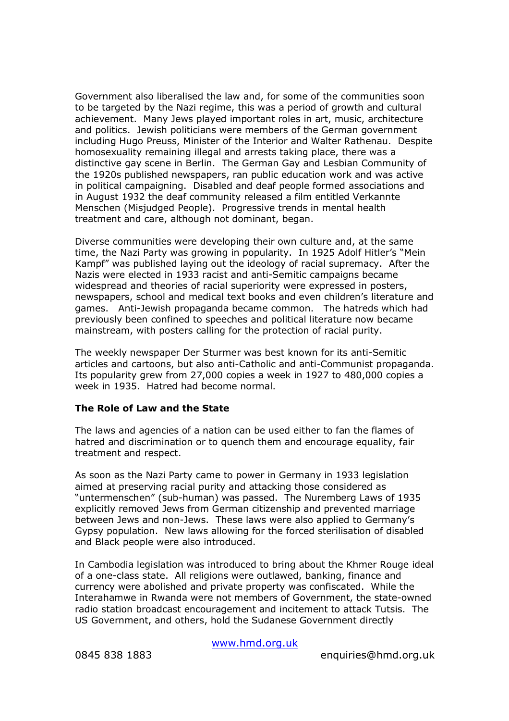Government also liberalised the law and, for some of the communities soon to be targeted by the Nazi regime, this was a period of growth and cultural achievement. Many Jews played important roles in art, music, architecture and politics. Jewish politicians were members of the German government including Hugo Preuss, Minister of the Interior and Walter Rathenau. Despite homosexuality remaining illegal and arrests taking place, there was a distinctive gay scene in Berlin. The German Gay and Lesbian Community of the 1920s published newspapers, ran public education work and was active in political campaigning. Disabled and deaf people formed associations and in August 1932 the deaf community released a film entitled Verkannte Menschen (Misjudged People). Progressive trends in mental health treatment and care, although not dominant, began.

Diverse communities were developing their own culture and, at the same time, the Nazi Party was growing in popularity. In 1925 Adolf Hitler's "Mein Kampf" was published laying out the ideology of racial supremacy. After the Nazis were elected in 1933 racist and anti-Semitic campaigns became widespread and theories of racial superiority were expressed in posters, newspapers, school and medical text books and even children's literature and games. Anti-Jewish propaganda became common. The hatreds which had previously been confined to speeches and political literature now became mainstream, with posters calling for the protection of racial purity.

The weekly newspaper Der Sturmer was best known for its anti-Semitic articles and cartoons, but also anti-Catholic and anti-Communist propaganda. Its popularity grew from 27,000 copies a week in 1927 to 480,000 copies a week in 1935. Hatred had become normal.

## The Role of Law and the State

The laws and agencies of a nation can be used either to fan the flames of hatred and discrimination or to quench them and encourage equality, fair treatment and respect.

As soon as the Nazi Party came to power in Germany in 1933 legislation aimed at preserving racial purity and attacking those considered as "untermenschen" (sub-human) was passed. The Nuremberg Laws of 1935 explicitly removed Jews from German citizenship and prevented marriage between Jews and non-Jews. These laws were also applied to Germany's Gypsy population. New laws allowing for the forced sterilisation of disabled and Black people were also introduced.

In Cambodia legislation was introduced to bring about the Khmer Rouge ideal of a one-class state. All religions were outlawed, banking, finance and currency were abolished and private property was confiscated. While the Interahamwe in Rwanda were not members of Government, the state-owned radio station broadcast encouragement and incitement to attack Tutsis. The US Government, and others, hold the Sudanese Government directly

www.hmd.org.uk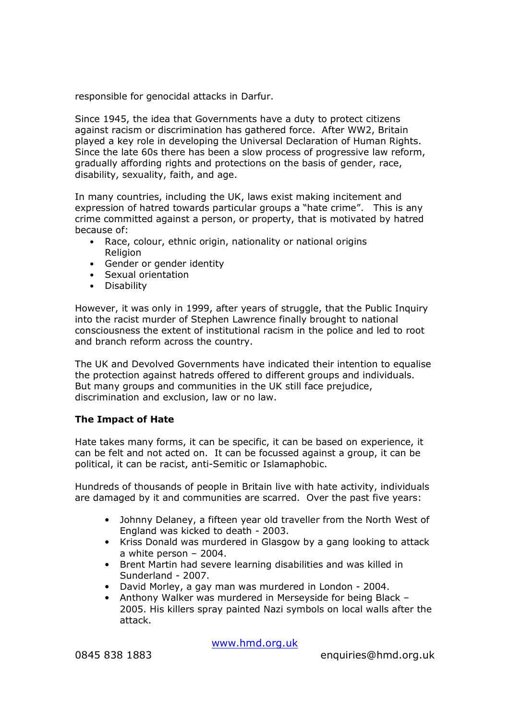responsible for genocidal attacks in Darfur.

Since 1945, the idea that Governments have a duty to protect citizens against racism or discrimination has gathered force. After WW2, Britain played a key role in developing the Universal Declaration of Human Rights. Since the late 60s there has been a slow process of progressive law reform, gradually affording rights and protections on the basis of gender, race, disability, sexuality, faith, and age.

In many countries, including the UK, laws exist making incitement and expression of hatred towards particular groups a "hate crime". This is any crime committed against a person, or property, that is motivated by hatred because of:

- Race, colour, ethnic origin, nationality or national origins **Religion**
- Gender or gender identity
- Sexual orientation
- Disability

However, it was only in 1999, after years of struggle, that the Public Inquiry into the racist murder of Stephen Lawrence finally brought to national consciousness the extent of institutional racism in the police and led to root and branch reform across the country.

The UK and Devolved Governments have indicated their intention to equalise the protection against hatreds offered to different groups and individuals. But many groups and communities in the UK still face prejudice, discrimination and exclusion, law or no law.

# The Impact of Hate

Hate takes many forms, it can be specific, it can be based on experience, it can be felt and not acted on. It can be focussed against a group, it can be political, it can be racist, anti-Semitic or Islamaphobic.

Hundreds of thousands of people in Britain live with hate activity, individuals are damaged by it and communities are scarred. Over the past five years:

- Johnny Delaney, a fifteen year old traveller from the North West of England was kicked to death - 2003.
- Kriss Donald was murdered in Glasgow by a gang looking to attack a white person – 2004.
- Brent Martin had severe learning disabilities and was killed in Sunderland - 2007.
- David Morley, a gay man was murdered in London 2004.
- Anthony Walker was murdered in Merseyside for being Black 2005. His killers spray painted Nazi symbols on local walls after the attack.

www.hmd.org.uk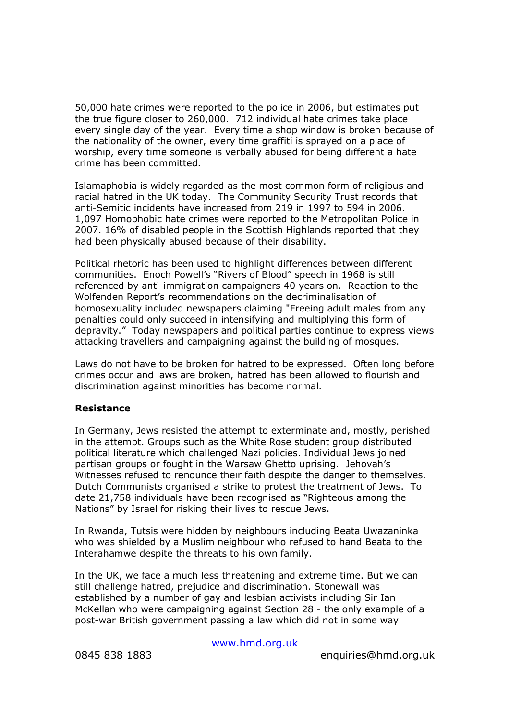50,000 hate crimes were reported to the police in 2006, but estimates put the true figure closer to 260,000. 712 individual hate crimes take place every single day of the year. Every time a shop window is broken because of the nationality of the owner, every time graffiti is sprayed on a place of worship, every time someone is verbally abused for being different a hate crime has been committed.

Islamaphobia is widely regarded as the most common form of religious and racial hatred in the UK today. The Community Security Trust records that anti-Semitic incidents have increased from 219 in 1997 to 594 in 2006. 1,097 Homophobic hate crimes were reported to the Metropolitan Police in 2007. 16% of disabled people in the Scottish Highlands reported that they had been physically abused because of their disability.

Political rhetoric has been used to highlight differences between different communities. Enoch Powell's "Rivers of Blood" speech in 1968 is still referenced by anti-immigration campaigners 40 years on. Reaction to the Wolfenden Report's recommendations on the decriminalisation of homosexuality included newspapers claiming "Freeing adult males from any penalties could only succeed in intensifying and multiplying this form of depravity." Today newspapers and political parties continue to express views attacking travellers and campaigning against the building of mosques.

Laws do not have to be broken for hatred to be expressed. Often long before crimes occur and laws are broken, hatred has been allowed to flourish and discrimination against minorities has become normal.

## Resistance

In Germany, Jews resisted the attempt to exterminate and, mostly, perished in the attempt. Groups such as the White Rose student group distributed political literature which challenged Nazi policies. Individual Jews joined partisan groups or fought in the Warsaw Ghetto uprising. Jehovah's Witnesses refused to renounce their faith despite the danger to themselves. Dutch Communists organised a strike to protest the treatment of Jews. To date 21,758 individuals have been recognised as "Righteous among the Nations" by Israel for risking their lives to rescue Jews.

In Rwanda, Tutsis were hidden by neighbours including Beata Uwazaninka who was shielded by a Muslim neighbour who refused to hand Beata to the Interahamwe despite the threats to his own family.

In the UK, we face a much less threatening and extreme time. But we can still challenge hatred, prejudice and discrimination. Stonewall was established by a number of gay and lesbian activists including Sir Ian McKellan who were campaigning against Section 28 - the only example of a post-war British government passing a law which did not in some way

www.hmd.org.uk